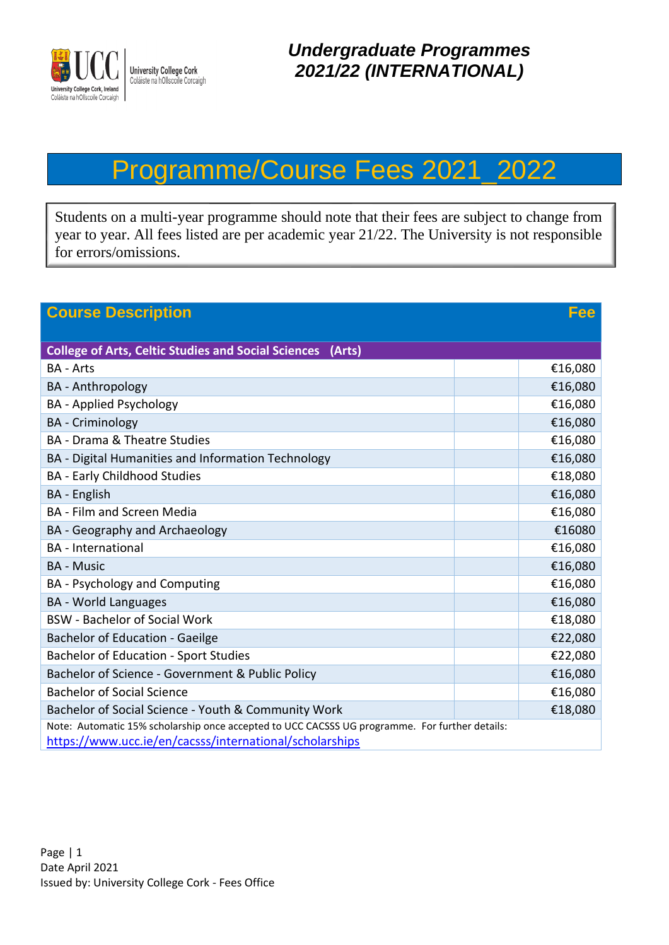

## Programme/Course Fees 2021\_2022

Students on a multi-year programme should note that their fees are subject to change from year to year. All fees listed are per academic year 21/22. The University is not responsible for errors/omissions.

| <b>Course Description</b><br>Fee                                                               |         |  |
|------------------------------------------------------------------------------------------------|---------|--|
|                                                                                                |         |  |
| <b>College of Arts, Celtic Studies and Social Sciences (Arts)</b>                              |         |  |
| <b>BA - Arts</b>                                                                               | €16,080 |  |
| <b>BA</b> - Anthropology                                                                       | €16,080 |  |
| <b>BA</b> - Applied Psychology                                                                 | €16,080 |  |
| <b>BA</b> - Criminology                                                                        | €16,080 |  |
| <b>BA</b> - Drama & Theatre Studies                                                            | €16,080 |  |
| BA - Digital Humanities and Information Technology                                             | €16,080 |  |
| <b>BA - Early Childhood Studies</b>                                                            | €18,080 |  |
| <b>BA</b> - English                                                                            | €16,080 |  |
| <b>BA</b> - Film and Screen Media                                                              | €16,080 |  |
| BA - Geography and Archaeology                                                                 | €16080  |  |
| <b>BA</b> - International                                                                      | €16,080 |  |
| <b>BA - Music</b>                                                                              | €16,080 |  |
| BA - Psychology and Computing                                                                  | €16,080 |  |
| <b>BA</b> - World Languages                                                                    | €16,080 |  |
| <b>BSW</b> - Bachelor of Social Work                                                           | €18,080 |  |
| <b>Bachelor of Education - Gaeilge</b>                                                         | €22,080 |  |
| <b>Bachelor of Education - Sport Studies</b>                                                   | €22,080 |  |
| Bachelor of Science - Government & Public Policy                                               | €16,080 |  |
| <b>Bachelor of Social Science</b>                                                              | €16,080 |  |
| Bachelor of Social Science - Youth & Community Work                                            | €18,080 |  |
| Note: Automatic 15% scholarship once accepted to UCC CACSSS UG programme. For further details: |         |  |
| https://www.ucc.ie/en/cacsss/international/scholarships                                        |         |  |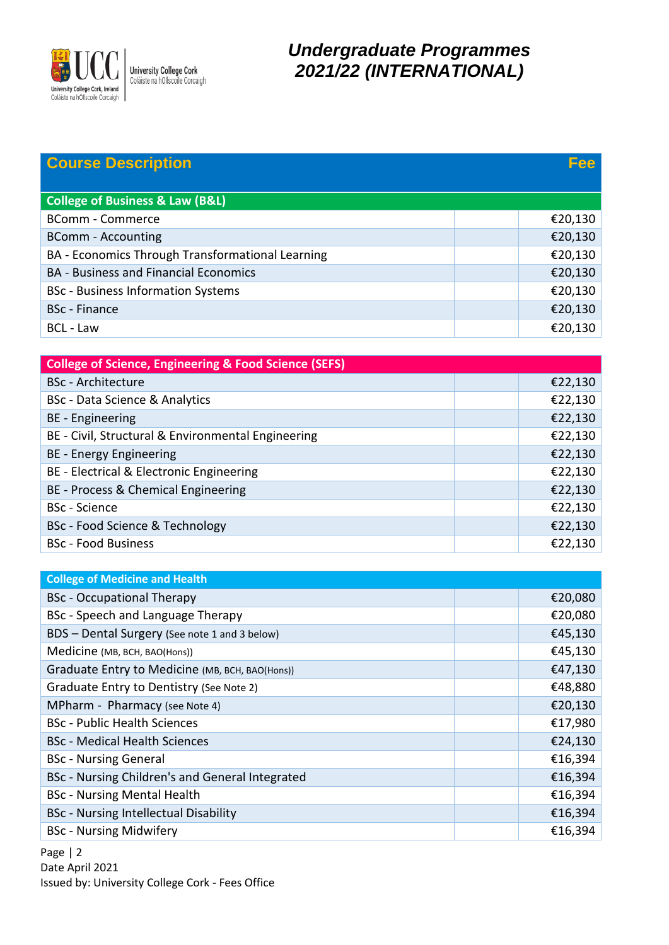

## *Undergraduate Programmes 2021/22 (INTERNATIONAL)*

| <b>Course Description</b>                                        | Fee     |
|------------------------------------------------------------------|---------|
|                                                                  |         |
| <b>College of Business &amp; Law (B&amp;L)</b>                   |         |
| <b>BComm - Commerce</b>                                          | €20,130 |
| <b>BComm - Accounting</b>                                        | €20,130 |
| BA - Economics Through Transformational Learning                 | €20,130 |
| <b>BA - Business and Financial Economics</b>                     | €20,130 |
| <b>BSc</b> - Business Information Systems                        | €20,130 |
| <b>BSc</b> - Finance                                             | €20,130 |
| BCL - Law                                                        | €20,130 |
|                                                                  |         |
| <b>College of Science, Engineering &amp; Food Science (SEFS)</b> |         |
| <b>BSc</b> - Architecture                                        | €22,130 |
| <b>BSc</b> - Data Science & Analytics                            | €22,130 |
| <b>BE</b> - Engineering                                          | €22,130 |
| BE - Civil, Structural & Environmental Engineering               | €22,130 |
| BE - Energy Engineering                                          | €22,130 |
| BE - Electrical & Electronic Engineering                         | €22,130 |
| BE - Process & Chemical Engineering                              | €22,130 |
| <b>BSc</b> - Science                                             | €22,130 |
| <b>BSc - Food Science &amp; Technology</b>                       | €22,130 |
| <b>BSc - Food Business</b>                                       | €22,130 |
|                                                                  |         |
| <b>College of Medicine and Health</b>                            |         |
| <b>BSc</b> - Occupational Therapy                                | €20,080 |
| BSc - Speech and Language Therapy                                | €20,080 |
| BDS - Dental Surgery (See note 1 and 3 below)                    | €45,130 |
| Medicine (MB, BCH, BAO(Hons))                                    | €45,130 |
| Graduate Entry to Medicine (MB, BCH, BAO(Hons))                  | €47,130 |
| Graduate Entry to Dentistry (See Note 2)                         | €48,880 |
| MPharm - Pharmacy (see Note 4)                                   | €20,130 |
| <b>BSc</b> - Public Health Sciences                              | €17,980 |
| <b>BSc</b> - Medical Health Sciences                             | €24,130 |
| <b>BSc - Nursing General</b>                                     | €16,394 |
| BSc - Nursing Children's and General Integrated                  | €16,394 |
| <b>BSc - Nursing Mental Health</b>                               | €16,394 |
| <b>BSc - Nursing Intellectual Disability</b>                     | €16,394 |
| <b>BSc - Nursing Midwifery</b>                                   | €16,394 |

Page | 2 Date April 2021 Issued by: University College Cork - Fees Office